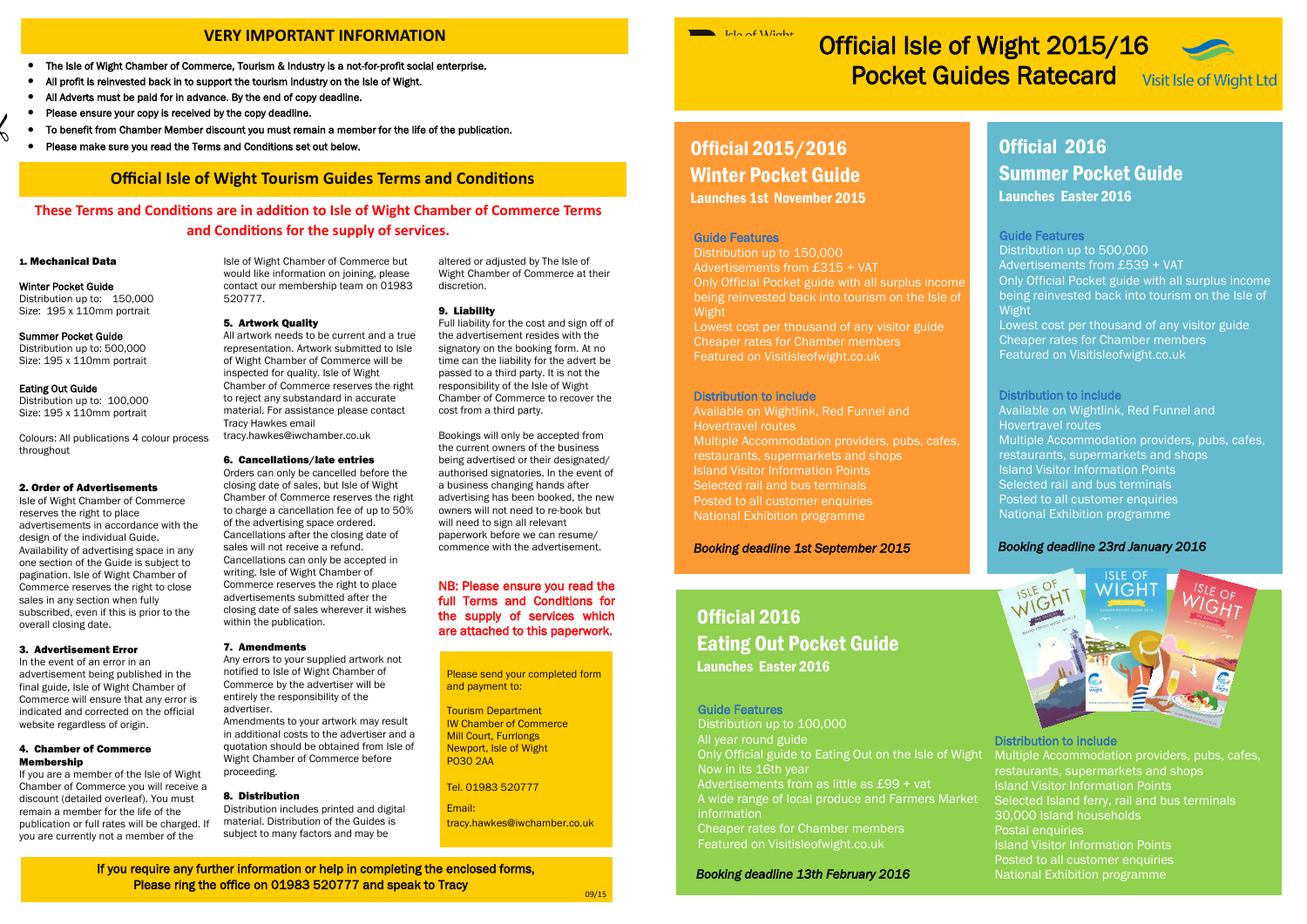### 1. Mechanical Data

 $\zeta$ 

### Winter Pocket Guide

Distribution up to: 150,000 Size: 195 x 110mm portrait

### Summer Pocket Guide

Distribution up to: 500,000 Size: 195 x 110mm portrait

### Eating Out Guide

Distribution up to: 100,000 Size: 195 x 110mm portrait

Colours: All publications 4 colour process throughout

### 2. Order of Advertisements

Isle of Wight Chamber of Commerce reserves the right to place advertisements in accordance with the design of the individual Guide. Availability of advertising space in any one section of the Guide is subject to pagination. Isle of Wight Chamber of Commerce reserves the right to close sales in any section when fully subscribed, even if this is prior to the overall closing date.

### 3. Advertisement Error

In the event of an error in an advertisement being published in the final guide, Isle of Wight Chamber of Commerce will ensure that any error is indicated and corrected on the official website regardless of origin.

## 4. Chamber of Commerce Membership

If you are a member of the Isle of Wight Chamber of Commerce you will receive a discount (detailed overleaf). You must remain a member for the life of the publication or full rates will be charged. If you are currently not a member of the

Isle of Wight Chamber of Commerce but would like information on joining, please contact our membership team on 01983 520777.

### 5. Artwork Quality

All artwork needs to be current and a true representation. Artwork submitted to Isle of Wight Chamber of Commerce will be inspected for quality. Isle of Wight Chamber of Commerce reserves the right to reject any substandard in accurate material. For assistance please contact Tracy Hawkes email

tracy.hawkes@iwchamber.co.uk

## 6. Cancellations/late entries

Orders can only be cancelled before the closing date of sales, but Isle of Wight Chamber of Commerce reserves the right to charge a cancellation fee of up to 50% of the advertising space ordered. Cancellations after the closing date of sales will not receive a refund. Cancellations can only be accepted in writing. Isle of Wight Chamber of Commerce reserves the right to place advertisements submitted after the closing date of sales wherever it wishes within the publication.

## 7. Amendments

Any errors to your supplied artwork not notified to Isle of Wight Chamber of Commerce by the advertiser will be entirely the responsibility of the advertiser. Amendments to your artwork may result in additional costs to the advertiser and a

quotation should be obtained from Isle of Wight Chamber of Commerce before proceeding.

## 8. Distribution

Distribution includes printed and digital material. Distribution of the Guides is subject to many factors and may be

altered or adjusted by The Isle of Wight Chamber of Commerce at their discretion.

## 9. Liability

Full liability for the cost and sign off of the advertisement resides with the signatory on the booking form. At no time can the liability for the advert be passed to a third party. It is not the responsibility of the Isle of Wight Chamber of Commerce to recover the cost from a third party.

Bookings will only be accepted from the current owners of the business being advertised or their designated/ authorised signatories. In the event of a business changing hands after advertising has been booked, the new owners will not need to re-book but will need to sign all relevant paperwork before we can resume/ commence with the advertisement.

## NB: Please ensure you read the full Terms and Conditions for the supply of services which are attached to this paperwork.

## **These Terms and Conditions are in addition to Isle of Wight Chamber of Commerce Terms and Conditions for the supply of services.**

- The Isle of Wight Chamber of Commerce, Tourism & Industry is a not-for-profit social enterprise.
- All profit is reinvested back in to support the tourism industry on the Isle of Wight.
- All Adverts must be paid for in advance. By the end of copy deadline.
- Please ensure your copy is received by the copy deadline.
- To benefit from Chamber Member discount you must remain a member for the life of the publication.
- Please make sure you read the Terms and Conditions set out below.

Please send your completed form and payment to:

Tourism Department IW Chamber of Commerce Mill Court, Furrlongs Newport, Isle of Wight PO30 2AA

## Tel. 01983 520777

Email: tracy.hawkes@iwchamber.co.uk  $\blacksquare$   $\blacksquare$   $\blacksquare$   $\blacksquare$   $\blacksquare$   $\blacksquare$   $\blacksquare$   $\blacksquare$   $\blacksquare$   $\blacksquare$   $\blacksquare$   $\blacksquare$   $\blacksquare$   $\blacksquare$   $\blacksquare$   $\blacksquare$   $\blacksquare$   $\blacksquare$   $\blacksquare$   $\blacksquare$   $\blacksquare$   $\blacksquare$   $\blacksquare$   $\blacksquare$   $\blacksquare$   $\blacksquare$   $\blacksquare$   $\blacksquare$   $\blacksquare$   $\blacksquare$   $\blacksquare$   $\blacks$ 

# Official Isle of Wight 2015/16 Pocket Guides Ratecard Visit Isle of Wight Ltd

If you require any further information or help in completing the enclosed forms, Please ring the office on 01983 520777 and speak to Tracy



## **VERY IMPORTANT INFORMATION**

## **Official Isle of Wight Tourism Guides Terms and Conditions**

09/15

## Official 2016

## Summer Pocket Guide Launches Easter 2016

## Guide Features

Distribution up to 500,000 Advertisements from £539 + VAT Only Official Pocket guide with all surplus income being reinvested back into tourism on the Isle of **Wight** Lowest cost per thousand of any visitor guide Cheaper rates for Chamber members Featured on Visitisleofwight.co.uk

Distribution to include Available on Wightlink, Red Funnel and Hovertravel routes Multiple Accommodation providers, pubs, cafes, restaurants, supermarkets and shops Island Visitor Information Points Selected rail and bus terminals Posted to all customer enquiries National Exhibition programme

## *Booking deadline 1st September 2015 Booking deadline 23rd January 2016*



## Guide Features

Distribution up to 150,000 Advertisements from £315 + VAT Only Official Pocket guide with all surplus income being reinvested back into tourism on the Isle of **Wight** Lowest cost per thousand of any visitor guide Cheaper rates for Chamber members Featured on Visitisleofwight.co.uk

## Official 2015/2016 Winter Pocket Guide Launches 1st November 2015

## Official 2016 Eating Out Pocket Guide Launches Easter 2016

## Guide Features

Distribution up to 100,000 All year round guide Only Official guide to Eating Out on the Isle of Wight Multiple Accommodation providers, pubs, cafes, Now in its 16th year Advertisements from as little as £99 + vat A wide range of local produce and Farmers Market information Cheaper rates for Chamber members Featured on Visitisleofwight.co.uk

Distribution to include restaurants, supermarkets and shops Island Visitor Information Points Selected Island ferry, rail and bus terminals 30,000 Island households Postal enquiries Island Visitor Information Points Posted to all customer enquiries National Exhibition programme

### Distribution to include

Available on Wightlink, Red Funnel and Hovertravel routes Multiple Accommodation providers, pubs, cafes, restaurants, supermarkets and shops Island Visitor Information Points Selected rail and bus terminals Posted to all customer enquiries National Exhibition programme

## *Booking deadline 13th February 2016*